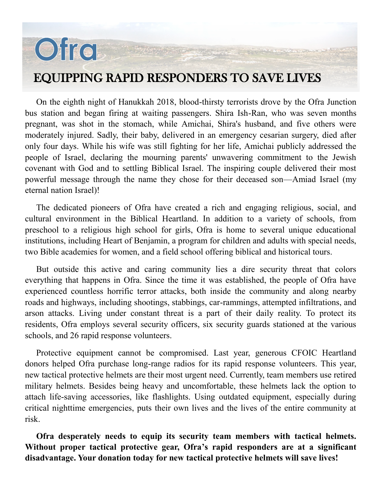# Ofro

### EQUIPPING RAPID RESPONDERS TO SAVE LIVES

On the eighth night of Hanukkah 2018, blood-thirsty terrorists drove by the Ofra Junction bus station and began firing at waiting passengers. Shira Ish-Ran, who was seven months pregnant, was shot in the stomach, while Amichai, Shira's husband, and five others were moderately injured. Sadly, their baby, delivered in an emergency cesarian surgery, died after only four days. While his wife was still fighting for her life, Amichai publicly addressed the people of Israel, declaring the mourning parents' unwavering commitment to the Jewish covenant with God and to settling Biblical Israel. The inspiring couple delivered their most powerful message through the name they chose for their deceased son—Amiad Israel (my eternal nation Israel)!

The dedicated pioneers of Ofra have created a rich and engaging religious, social, and cultural environment in the Biblical Heartland. In addition to a variety of schools, from preschool to a religious high school for girls, Ofra is home to several unique educational institutions, including Heart of Benjamin, a program for children and adults with special needs, two Bible academies for women, and a field school offering biblical and historical tours.

But outside this active and caring community lies a dire security threat that colors everything that happens in Ofra. Since the time it was established, the people of Ofra have experienced countless horrific terror attacks, both inside the community and along nearby roads and highways, including shootings, stabbings, car-rammings, attempted infiltrations, and arson attacks. Living under constant threat is a part of their daily reality. To protect its residents, Ofra employs several security officers, six security guards stationed at the various schools, and 26 rapid response volunteers.

Protective equipment cannot be compromised. Last year, generous CFOIC Heartland donors helped Ofra purchase long-range radios for its rapid response volunteers. This year, new tactical protective helmets are their most urgent need. Currently, team members use retired military helmets. Besides being heavy and uncomfortable, these helmets lack the option to attach life-saving accessories, like flashlights. Using outdated equipment, especially during critical nighttime emergencies, puts their own lives and the lives of the entire community at risk.

**Ofra desperately needs to equip its security team members with tactical helmets. Without proper tactical protective gear, Ofra's rapid responders are at a significant disadvantage. Your donation today for new tactical protective helmets will save lives!**